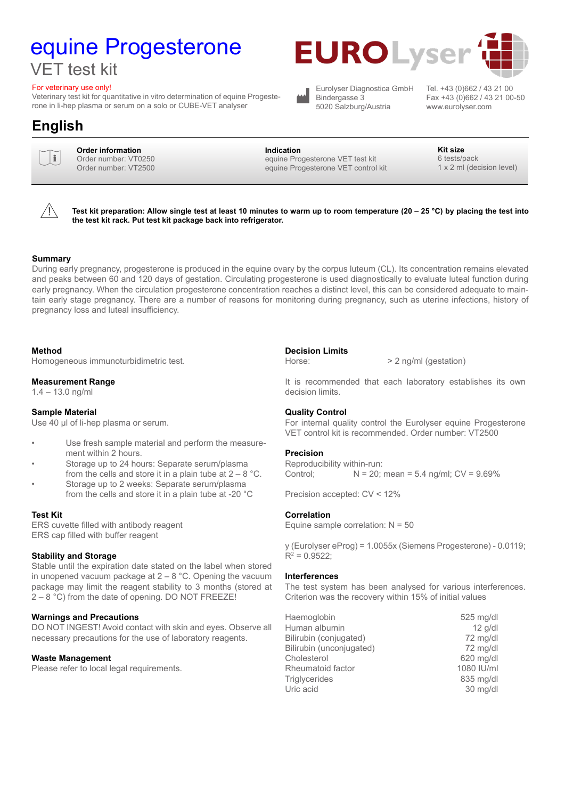# equine Progesterone

### VET test kit

#### For veterinary use only!

Veterinary test kit for quantitative in vitro determination of equine Progesterone in li-hep plasma or serum on a solo or CUBE-VET analyser

### **English**



**Order information**<br>
Order number: VT0250 Order number: VT2500

#### **Indication Kit size**

equine Progesterone VET test kit equine Progesterone VET control kit

Bindergasse 3 5020 Salzburg/Austria

www.eurolyser.com

6 tests/pack 1 x 2 ml (decision level)



**Test kit preparation: Allow single test at least 10 minutes to warm up to room temperature (20 – 25 °C) by placing the test into the test kit rack. Put test kit package back into refrigerator.**

#### **Summary**

During early pregnancy, progesterone is produced in the equine ovary by the corpus luteum (CL). Its concentration remains elevated and peaks between 60 and 120 days of gestation. Circulating progesterone is used diagnostically to evaluate luteal function during early pregnancy. When the circulation progesterone concentration reaches a distinct level, this can be considered adequate to maintain early stage pregnancy. There are a number of reasons for monitoring during pregnancy, such as uterine infections, history of pregnancy loss and luteal insufficiency.

#### **Method**

Homogeneous immunoturbidimetric test.

#### **Measurement Range**

1.4 – 13.0 ng/ml

#### **Sample Material**

Use 40 µl of li-hep plasma or serum.

- Use fresh sample material and perform the measurement within 2 hours.
- Storage up to 24 hours: Separate serum/plasma from the cells and store it in a plain tube at  $2 - 8$  °C.
- Storage up to 2 weeks: Separate serum/plasma from the cells and store it in a plain tube at -20 °C

#### **Test Kit**

ERS cuvette filled with antibody reagent ERS cap filled with buffer reagent

#### **Stability and Storage**

Stable until the expiration date stated on the label when stored in unopened vacuum package at  $2 - 8$  °C. Opening the vacuum package may limit the reagent stability to 3 months (stored at  $2 - 8$  °C) from the date of opening. DO NOT FREEZE!

#### **Warnings and Precautions**

DO NOT INGEST! Avoid contact with skin and eyes. Observe all necessary precautions for the use of laboratory reagents.

#### **Waste Management**

Please refer to local legal requirements.

#### **Decision Limits**

Horse:  $> 2$  ng/ml (gestation)

It is recommended that each laboratory establishes its own decision limits.

#### **Quality Control**

For internal quality control the Eurolyser equine Progesterone VET control kit is recommended. Order number: VT2500

#### **Precision**

Reproducibility within-run: Control:  $N = 20$ ; mean = 5.4 ng/ml;  $CV = 9.69\%$ 

Precision accepted: CV < 12%

#### **Correlation**

Equine sample correlation: N = 50

y (Eurolyser eProg) = 1.0055x (Siemens Progesterone) - 0.0119;  $R^2 = 0.9522$ ;

#### **Interferences**

The test system has been analysed for various interferences. Criterion was the recovery within 15% of initial values

| Haemoglobin              | 525 mg/dl  |
|--------------------------|------------|
| Human albumin            | $12$ g/dl  |
| Bilirubin (conjugated)   | 72 mg/dl   |
| Bilirubin (unconjugated) | 72 mg/dl   |
| Cholesterol              | 620 mg/dl  |
| Rheumatoid factor        | 1080 IU/ml |
| <b>Triglycerides</b>     | 835 mg/dl  |
| Uric acid                | 30 mg/dl   |

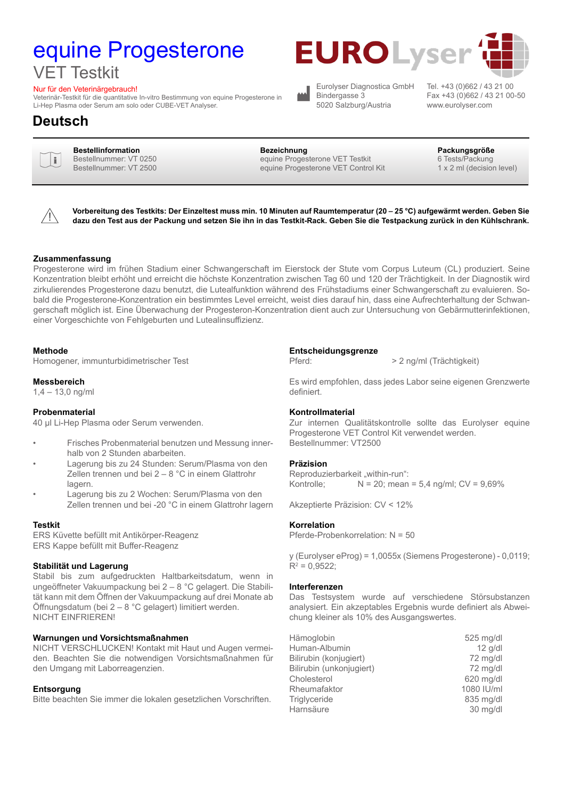## equine Progesterone VET Testkit

#### Nur für den Veterinärgebrauch!

Veterinär-Testkit für die quantitative In-vitro Bestimmung von equine Progesterone in Li-Hep Plasma oder Serum am solo oder CUBE-VET Analyser.

### **Deutsch**



**Bestellinformation Bezeichnung Packungsgröße** Bestellnummer: VT 0250 Bestellnummer: VT 2500

equine Progesterone VET Testkit equine Progesterone VET Control Kit

Eurolyser Diagnostica GmbH

Bindergasse 3 5020 Salzburg/Austria

Fax +43 (0)662 / 43 21 00-50 www.eurolyser.com

Tel. +43 (0)662 / 43 21 00

6 Tests/Packung 1 x 2 ml (decision level)



**Vorbereitung des Testkits: Der Einzeltest muss min. 10 Minuten auf Raumtemperatur (20 – 25 °C) aufgewärmt werden. Geben Sie dazu den Test aus der Packung und setzen Sie ihn in das Testkit-Rack. Geben Sie die Testpackung zurück in den Kühlschrank.**

#### **Zusammenfassung**

Progesterone wird im frühen Stadium einer Schwangerschaft im Eierstock der Stute vom Corpus Luteum (CL) produziert. Seine Konzentration bleibt erhöht und erreicht die höchste Konzentration zwischen Tag 60 und 120 der Trächtigkeit. In der Diagnostik wird zirkulierendes Progesterone dazu benutzt, die Lutealfunktion während des Frühstadiums einer Schwangerschaft zu evaluieren. Sobald die Progesterone-Konzentration ein bestimmtes Level erreicht, weist dies darauf hin, dass eine Aufrechterhaltung der Schwangerschaft möglich ist. Eine Überwachung der Progesteron-Konzentration dient auch zur Untersuchung von Gebärmutterinfektionen, einer Vorgeschichte von Fehlgeburten und Lutealinsuffizienz.

#### **Methode**

Homogener, immunturbidimetrischer Test

#### **Messbereich**

1,4 – 13,0 ng/ml

#### **Probenmaterial**

40 µl Li-Hep Plasma oder Serum verwenden.

- Frisches Probenmaterial benutzen und Messung innerhalb von 2 Stunden abarbeiten.
- Lagerung bis zu 24 Stunden: Serum/Plasma von den Zellen trennen und bei 2 – 8 °C in einem Glattrohr lagern.
- Lagerung bis zu 2 Wochen: Serum/Plasma von den Zellen trennen und bei -20 °C in einem Glattrohr lagern

#### **Testkit**

ERS Küvette befüllt mit Antikörper-Reagenz ERS Kappe befüllt mit Buffer-Reagenz

#### **Stabilität und Lagerung**

Stabil bis zum aufgedruckten Haltbarkeitsdatum, wenn in ungeöffneter Vakuumpackung bei 2 – 8 °C gelagert. Die Stabilität kann mit dem Öffnen der Vakuumpackung auf drei Monate ab Öffnungsdatum (bei 2 – 8 °C gelagert) limitiert werden. NICHT EINFRIEREN!

#### **Warnungen und Vorsichtsmaßnahmen**

NICHT VERSCHLUCKEN! Kontakt mit Haut und Augen vermeiden. Beachten Sie die notwendigen Vorsichtsmaßnahmen für den Umgang mit Laborreagenzien.

#### **Entsorgung**

Bitte beachten Sie immer die lokalen gesetzlichen Vorschriften.

#### **Entscheidungsgrenze**

Pferd:  $> 2$  ng/ml (Trächtigkeit)

Es wird empfohlen, dass jedes Labor seine eigenen Grenzwerte definiert.

#### **Kontrollmaterial**

Zur internen Qualitätskontrolle sollte das Eurolyser equine Progesterone VET Control Kit verwendet werden. Bestellnummer: VT2500

#### **Präzision**

Reproduzierbarkeit "within-run": Kontrolle;  $N = 20$ ; mean = 5,4 ng/ml;  $CV = 9,69\%$ 

Akzeptierte Präzision: CV < 12%

#### **Korrelation**

Pferde-Probenkorrelation: N = 50

y (Eurolyser eProg) = 1,0055x (Siemens Progesterone) - 0,0119;  $R^2 = 0,9522;$ 

#### **Interferenzen**

Das Testsystem wurde auf verschiedene Störsubstanzen analysiert. Ein akzeptables Ergebnis wurde definiert als Abweichung kleiner als 10% des Ausgangswertes.

| Hämoglobin               | 525 mg/dl  |
|--------------------------|------------|
| Human-Albumin            | $12$ g/dl  |
| Bilirubin (konjugiert)   | 72 mg/dl   |
| Bilirubin (unkonjugiert) | 72 mg/dl   |
| Cholesterol              | 620 mg/dl  |
| Rheumafaktor             | 1080 IU/ml |
| Triglyceride             | 835 mg/dl  |
| Harnsäure                | 30 mg/dl   |

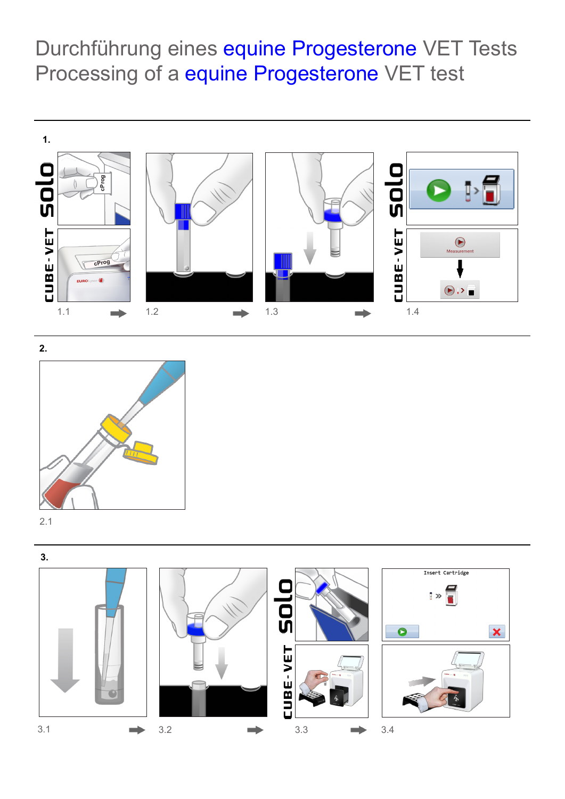Durchführung eines equine Progesterone VET Tests Processing of a equine Progesterone VET test





2.1